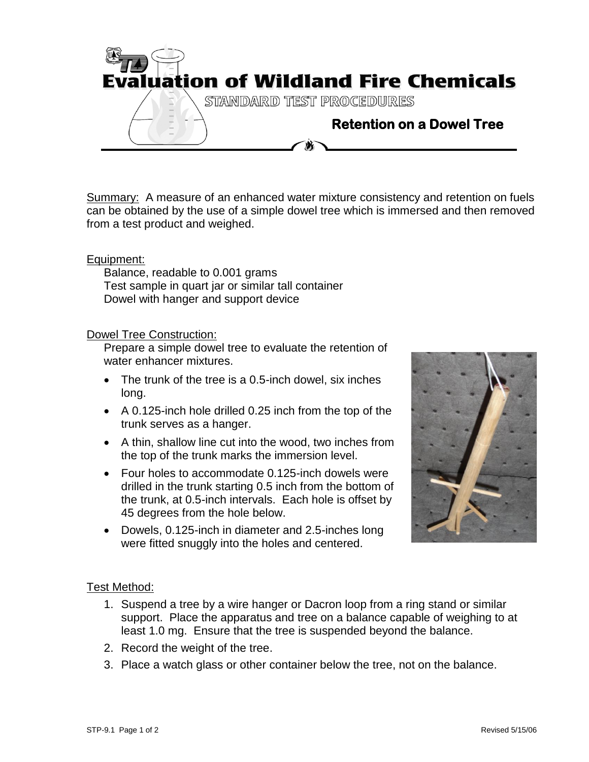

Summary: A measure of an enhanced water mixture consistency and retention on fuels can be obtained by the use of a simple dowel tree which is immersed and then removed from a test product and weighed.

## Equipment:

Balance, readable to 0.001 grams Test sample in quart jar or similar tall container Dowel with hanger and support device

## Dowel Tree Construction:

Prepare a simple dowel tree to evaluate the retention of water enhancer mixtures.

- The trunk of the tree is a 0.5-inch dowel, six inches long.
- A 0.125-inch hole drilled 0.25 inch from the top of the trunk serves as a hanger.
- A thin, shallow line cut into the wood, two inches from the top of the trunk marks the immersion level.
- Four holes to accommodate 0.125-inch dowels were drilled in the trunk starting 0.5 inch from the bottom of the trunk, at 0.5-inch intervals. Each hole is offset by 45 degrees from the hole below.
- Dowels, 0.125-inch in diameter and 2.5-inches long were fitted snuggly into the holes and centered.



## Test Method:

- 1. Suspend a tree by a wire hanger or Dacron loop from a ring stand or similar support. Place the apparatus and tree on a balance capable of weighing to at least 1.0 mg. Ensure that the tree is suspended beyond the balance.
- 2. Record the weight of the tree.
- 3. Place a watch glass or other container below the tree, not on the balance.